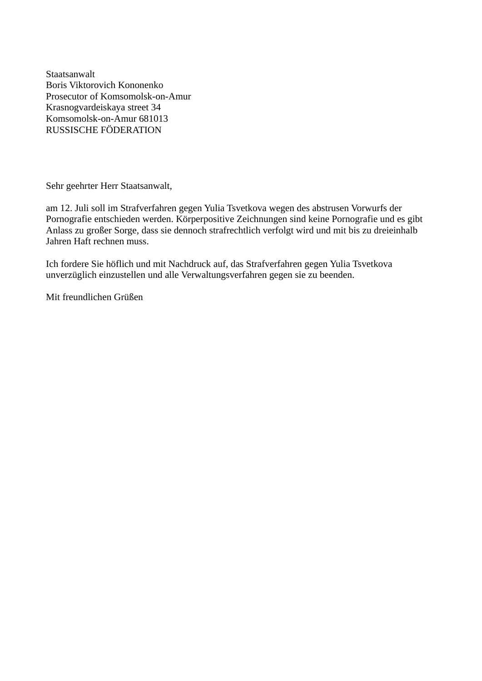Staatsanwalt Boris Viktorovich Kononenko Prosecutor of Komsomolsk-on-Amur Krasnogvardeiskaya street 34 Komsomolsk-on-Amur 681013 RUSSISCHE FÖDERATION

Sehr geehrter Herr Staatsanwalt,

am 12. Juli soll im Strafverfahren gegen Yulia Tsvetkova wegen des abstrusen Vorwurfs der Pornografie entschieden werden. Körperpositive Zeichnungen sind keine Pornografie und es gibt Anlass zu großer Sorge, dass sie dennoch strafrechtlich verfolgt wird und mit bis zu dreieinhalb Jahren Haft rechnen muss.

Ich fordere Sie höflich und mit Nachdruck auf, das Strafverfahren gegen Yulia Tsvetkova unverzüglich einzustellen und alle Verwaltungsverfahren gegen sie zu beenden.

Mit freundlichen Grüßen